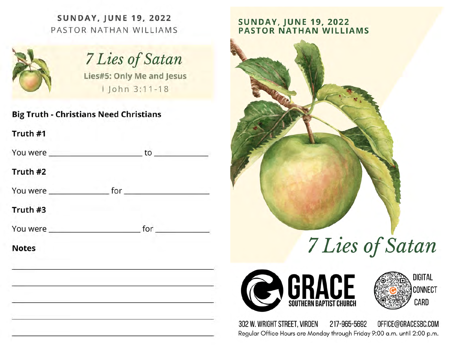**SUNDAY, JUNE 19, 2022** PASTOR NATHAN WILLIAMS



# 7 Lies of Satan

Lies#5: Only Me and Jesus | John 3:11-18

**Big Truth - Christians Need Christians** 

Truth #1

| You were |  |
|----------|--|
|          |  |

Truth #2

#### Truth #3

**Notes** 

# **SUNDAY, JUNE 19, 2022<br>PASTOR NATHAN WILLIAMS**



# 7 Lies of Satan





302 W. WRIGHT STREET, VIRDEN 217-965-5692 OFFICE@GRACESBC.COM Regular Office Hours are Monday through Friday 9:00 a.m. until 2:00 p.m.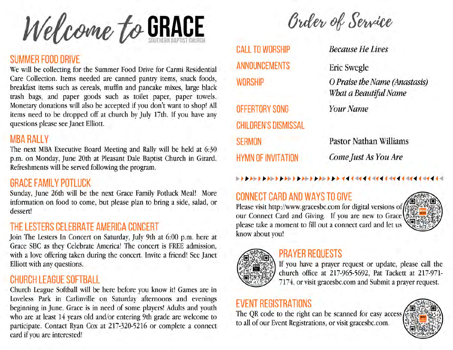Welcome to GRACE

#### SUMMER FOOD DRIVE

We will be collecting for the Summer Food Drive for Carmi Residential Care Collection. Items needed are canned pantry items, snack foods, breakfast items such as cereals, muffin and pancake mixes, large black trash bags, and paper goods such as toilet paper, paper towels. Monetary donations will also be accepted if you don't want to shop! All items need to be dropped off at church by July 17th. If you have any questions please see Janet Elliott.

#### **MBA RALLY**

The next MBA Executive Board Meeting and Rally will be held at 6:30 p.m. on Monday, June 20th at Pleasant Dale Baptist Church in Girard. Refreshments will be served following the program.

#### **GRACE FAMILY POTLUCK**

Sunday, June 26th will be the next Grace Family Potluck Meal! More information on food to come, but please plan to bring a side, salad, or dessert!

#### THE LESTERS CELEBRATE AMERICA CONCERT

Join The Lesters In Concert on Saturday, July 9th at 6:00 p.m. here at Grace SBC as they Celebrate America! The concert is FREE admission, with a love offering taken during the concert. Invite a friend! See Janet Elliott with any questions.

#### **CHURCH LEAGUE SOFTBALL**

Church League Softball will be here before you know it! Games are in Loveless Park in Carlinville on Saturday afternoons and evenings beginning in June. Grace is in need of some players! Adults and youth who are at least 14 years old and/or entering 9th grade are welcome to participate. Contact Ryan Cox at 217-320-5216 or complete a connect card if you are interested!

**Order of Service** 

**CALL TO WORSHIP ANNOUNCEMENTS WORSHIP** 

OFFERTORY SONG **CHILDREN'S DISMISSAL SERMON HYMN OF INVITATION** 

**Because He Lives** 

**Eric Swegle** 

O Praise the Name (Anastasis) What a Beautiful Name

**Your Name** 

**Pastor Nathan Williams** Come Just As You Are

# **CONNECT CARD AND WAYS TO GIVE**

Please visit http://www.gracesbc.com for digital versions of our Connect Card and Giving. If you are new to Grace please take a moment to fill out a connect card and let us know about you!



## **PRAYER REQUESTS**



If you have a prayer request or update, please call the church office at 217-965-5692, Pat Tackett at 217-971-7174, or visit gracesbc.com and Submit a prayer request.

# **EVENT REGISTRATIONS**

The QR code to the right can be scanned for easy access to all of our Event Registrations, or visit gracesbc.com.

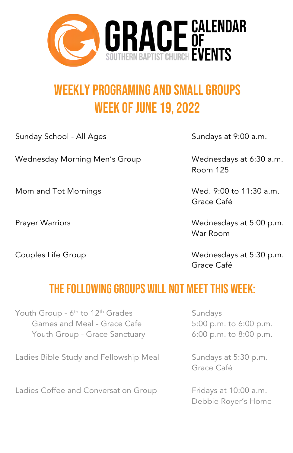

# Weekly programing and Small Groups Week of June 19, 2022

Sunday School - All Ages Sundays at 9:00 a.m.

Wednesday Morning Men's Group Wednesdays at 6:30 a.m.

Room 125

Mom and Tot Mornings Moment Communication wed. 9:00 to 11:30 a.m. Grace Café

Prayer Warriors **Matter Community** Wednesdays at 5:00 p.m. War Room

Couples Life Group Couples Life Group Grace Café

### The following groups will not meet this week:

Youth Group -  $6<sup>th</sup>$  to 12<sup>th</sup> Grades Sundays Games and Meal - Grace Cafe 5:00 p.m. to 6:00 p.m. Youth Group - Grace Sanctuary 6:00 p.m. to 8:00 p.m.

Ladies Bible Study and Fellowship Meal Sundays at 5:30 p.m.

Ladies Coffee and Conversation Group Fridays at 10:00 a.m.

Grace Café

Debbie Royer's Home